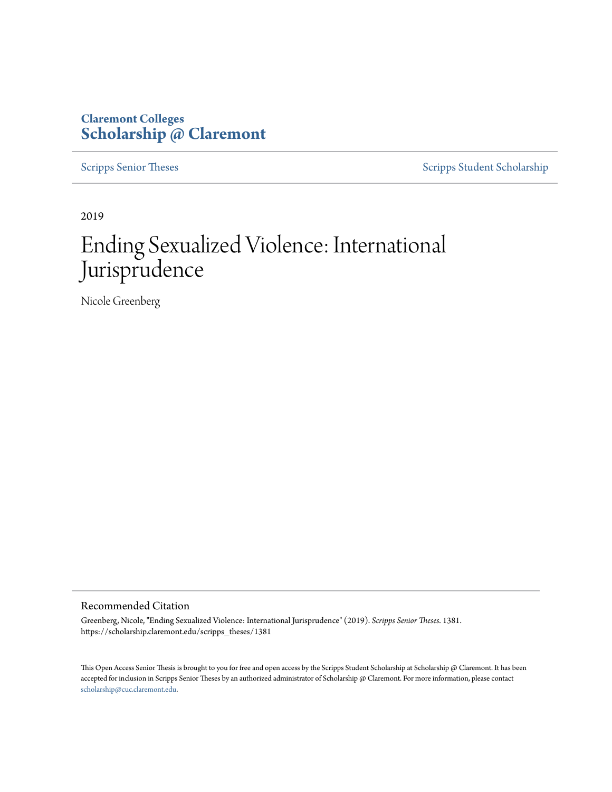## **Claremont Colleges [Scholarship @ Claremont](https://scholarship.claremont.edu)**

[Scripps Senior Theses](https://scholarship.claremont.edu/scripps_theses) [Scripps Student Scholarship](https://scholarship.claremont.edu/scripps_student)

2019

# Ending Sexualized Violence: International Jurisprudence

Nicole Greenberg

Recommended Citation

Greenberg, Nicole, "Ending Sexualized Violence: International Jurisprudence" (2019). *Scripps Senior Theses*. 1381. https://scholarship.claremont.edu/scripps\_theses/1381

This Open Access Senior Thesis is brought to you for free and open access by the Scripps Student Scholarship at Scholarship @ Claremont. It has been accepted for inclusion in Scripps Senior Theses by an authorized administrator of Scholarship @ Claremont. For more information, please contact [scholarship@cuc.claremont.edu.](mailto:scholarship@cuc.claremont.edu)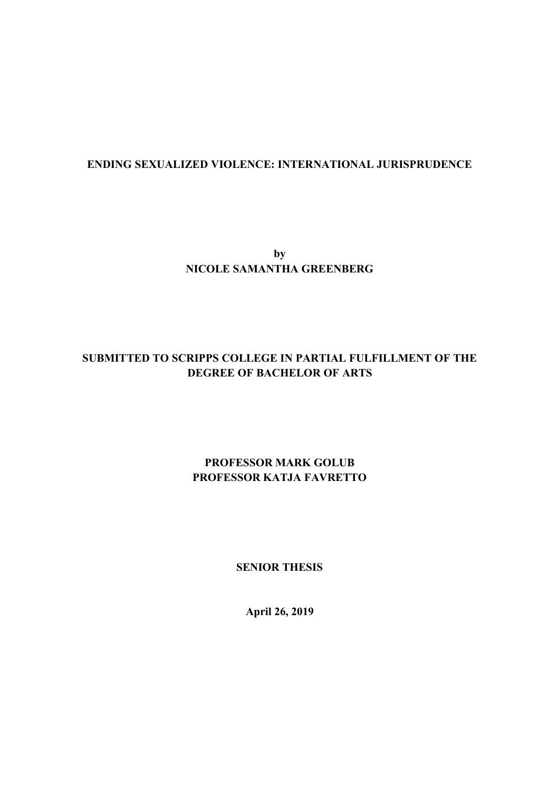### **ENDING SEXUALIZED VIOLENCE: INTERNATIONAL JURISPRUDENCE**

**by NICOLE SAMANTHA GREENBERG**

## **SUBMITTED TO SCRIPPS COLLEGE IN PARTIAL FULFILLMENT OF THE DEGREE OF BACHELOR OF ARTS**

## **PROFESSOR MARK GOLUB PROFESSOR KATJA FAVRETTO**

**SENIOR THESIS**

**April 26, 2019**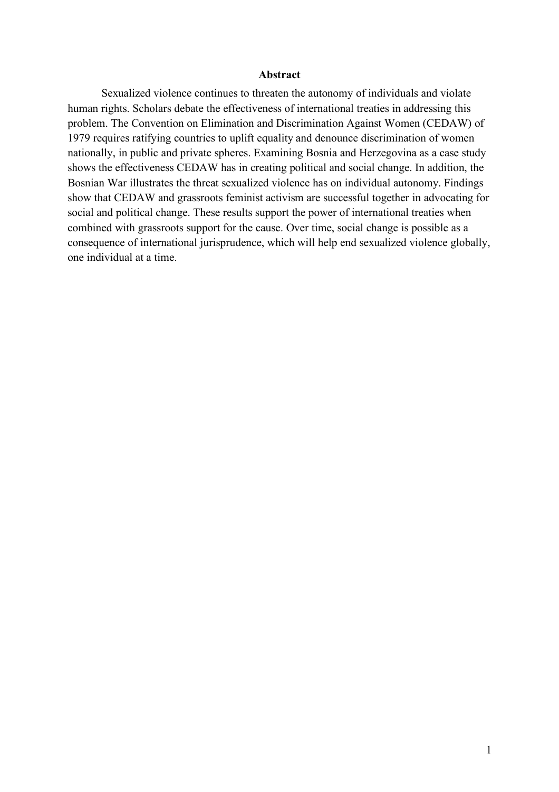#### **Abstract**

Sexualized violence continues to threaten the autonomy of individuals and violate human rights. Scholars debate the effectiveness of international treaties in addressing this problem. The Convention on Elimination and Discrimination Against Women (CEDAW) of 1979 requires ratifying countries to uplift equality and denounce discrimination of women nationally, in public and private spheres. Examining Bosnia and Herzegovina as a case study shows the effectiveness CEDAW has in creating political and social change. In addition, the Bosnian War illustrates the threat sexualized violence has on individual autonomy. Findings show that CEDAW and grassroots feminist activism are successful together in advocating for social and political change. These results support the power of international treaties when combined with grassroots support for the cause. Over time, social change is possible as a consequence of international jurisprudence, which will help end sexualized violence globally, one individual at a time.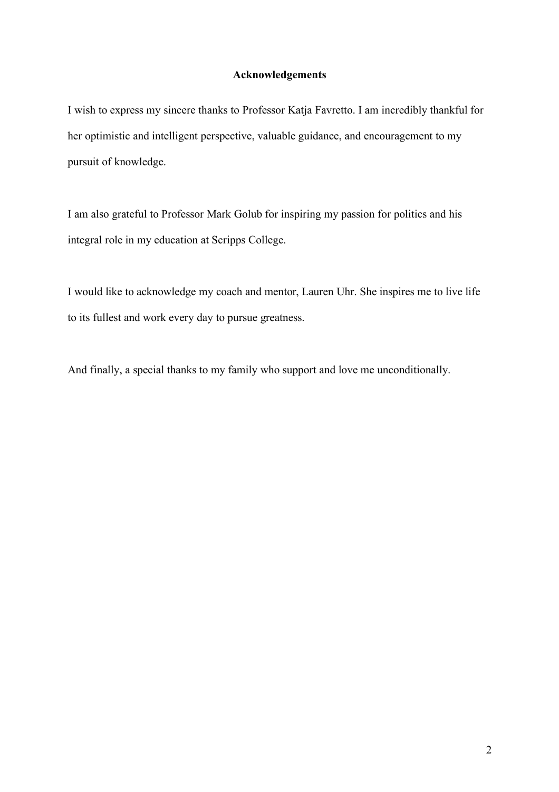#### **Acknowledgements**

I wish to express my sincere thanks to Professor Katja Favretto. I am incredibly thankful for her optimistic and intelligent perspective, valuable guidance, and encouragement to my pursuit of knowledge.

I am also grateful to Professor Mark Golub for inspiring my passion for politics and his integral role in my education at Scripps College.

I would like to acknowledge my coach and mentor, Lauren Uhr. She inspires me to live life to its fullest and work every day to pursue greatness.

And finally, a special thanks to my family who support and love me unconditionally.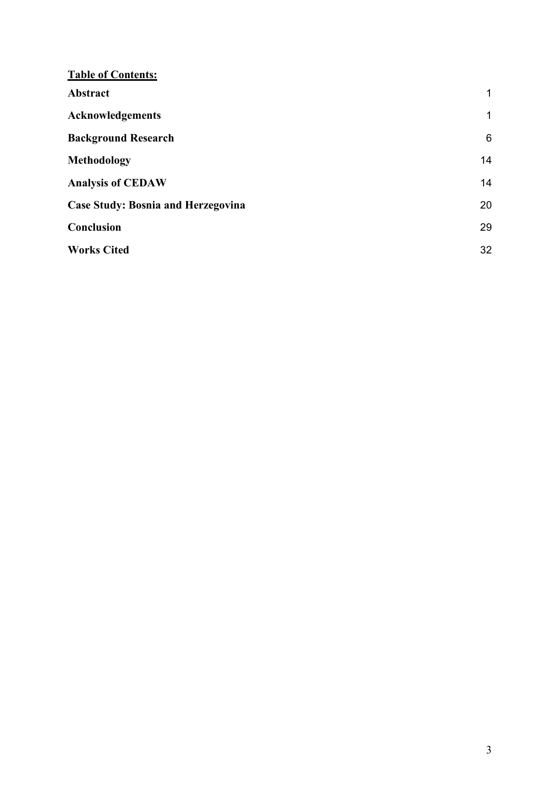| <b>Table of Contents:</b>                 |    |
|-------------------------------------------|----|
| Abstract                                  | 1  |
| Acknowledgements                          | 1  |
| <b>Background Research</b>                | 6  |
| Methodology                               | 14 |
| <b>Analysis of CEDAW</b>                  | 14 |
| <b>Case Study: Bosnia and Herzegovina</b> | 20 |
| Conclusion                                | 29 |
| <b>Works Cited</b>                        | 32 |
|                                           |    |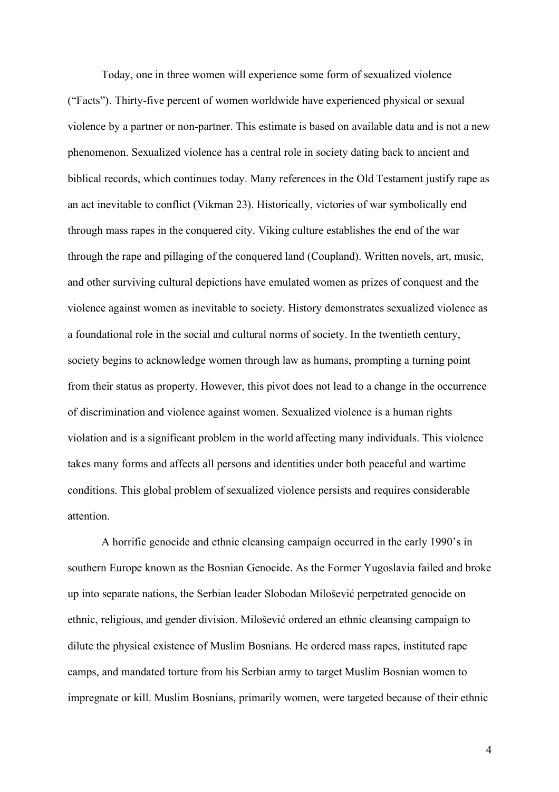Today, one in three women will experience some form of sexualized violence ("Facts"). Thirty-five percent of women worldwide have experienced physical or sexual violence by a partner or non-partner. This estimate is based on available data and is not a new phenomenon. Sexualized violence has a central role in society dating back to ancient and biblical records, which continues today. Many references in the Old Testament justify rape as an act inevitable to conflict (Vikman 23). Historically, victories of war symbolically end through mass rapes in the conquered city. Viking culture establishes the end of the war through the rape and pillaging of the conquered land (Coupland). Written novels, art, music, and other surviving cultural depictions have emulated women as prizes of conquest and the violence against women as inevitable to society. History demonstrates sexualized violence as a foundational role in the social and cultural norms of society. In the twentieth century, society begins to acknowledge women through law as humans, prompting a turning point from their status as property. However, this pivot does not lead to a change in the occurrence of discrimination and violence against women. Sexualized violence is a human rights violation and is a significant problem in the world affecting many individuals. This violence takes many forms and affects all persons and identities under both peaceful and wartime conditions. This global problem of sexualized violence persists and requires considerable attention.

A horrific genocide and ethnic cleansing campaign occurred in the early 1990's in southern Europe known as the Bosnian Genocide. As the Former Yugoslavia failed and broke up into separate nations, the Serbian leader Slobodan Milošević perpetrated genocide on ethnic, religious, and gender division. Milošević ordered an ethnic cleansing campaign to dilute the physical existence of Muslim Bosnians. He ordered mass rapes, instituted rape camps, and mandated torture from his Serbian army to target Muslim Bosnian women to impregnate or kill. Muslim Bosnians, primarily women, were targeted because of their ethnic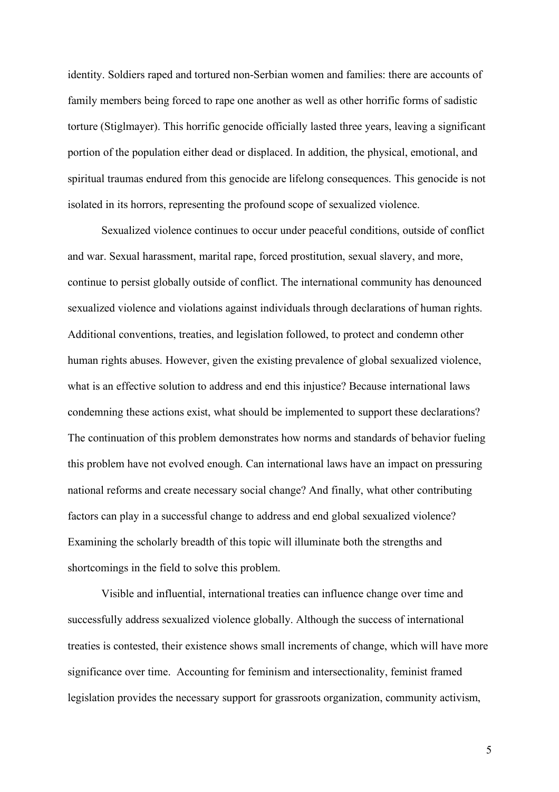identity. Soldiers raped and tortured non-Serbian women and families: there are accounts of family members being forced to rape one another as well as other horrific forms of sadistic torture (Stiglmayer). This horrific genocide officially lasted three years, leaving a significant portion of the population either dead or displaced. In addition, the physical, emotional, and spiritual traumas endured from this genocide are lifelong consequences. This genocide is not isolated in its horrors, representing the profound scope of sexualized violence.

Sexualized violence continues to occur under peaceful conditions, outside of conflict and war. Sexual harassment, marital rape, forced prostitution, sexual slavery, and more, continue to persist globally outside of conflict. The international community has denounced sexualized violence and violations against individuals through declarations of human rights. Additional conventions, treaties, and legislation followed, to protect and condemn other human rights abuses. However, given the existing prevalence of global sexualized violence, what is an effective solution to address and end this injustice? Because international laws condemning these actions exist, what should be implemented to support these declarations? The continuation of this problem demonstrates how norms and standards of behavior fueling this problem have not evolved enough. Can international laws have an impact on pressuring national reforms and create necessary social change? And finally, what other contributing factors can play in a successful change to address and end global sexualized violence? Examining the scholarly breadth of this topic will illuminate both the strengths and shortcomings in the field to solve this problem.

Visible and influential, international treaties can influence change over time and successfully address sexualized violence globally. Although the success of international treaties is contested, their existence shows small increments of change, which will have more significance over time. Accounting for feminism and intersectionality, feminist framed legislation provides the necessary support for grassroots organization, community activism,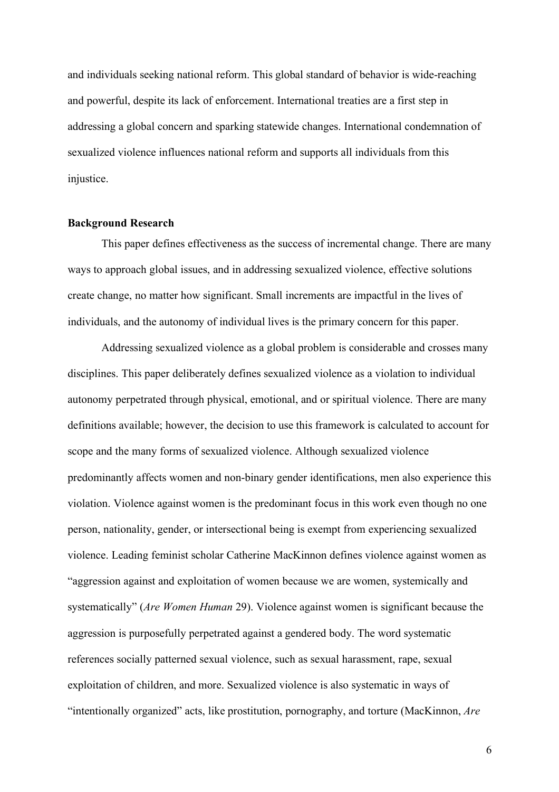and individuals seeking national reform. This global standard of behavior is wide-reaching and powerful, despite its lack of enforcement. International treaties are a first step in addressing a global concern and sparking statewide changes. International condemnation of sexualized violence influences national reform and supports all individuals from this injustice.

#### **Background Research**

This paper defines effectiveness as the success of incremental change. There are many ways to approach global issues, and in addressing sexualized violence, effective solutions create change, no matter how significant. Small increments are impactful in the lives of individuals, and the autonomy of individual lives is the primary concern for this paper.

Addressing sexualized violence as a global problem is considerable and crosses many disciplines. This paper deliberately defines sexualized violence as a violation to individual autonomy perpetrated through physical, emotional, and or spiritual violence. There are many definitions available; however, the decision to use this framework is calculated to account for scope and the many forms of sexualized violence. Although sexualized violence predominantly affects women and non-binary gender identifications, men also experience this violation. Violence against women is the predominant focus in this work even though no one person, nationality, gender, or intersectional being is exempt from experiencing sexualized violence. Leading feminist scholar Catherine MacKinnon defines violence against women as "aggression against and exploitation of women because we are women, systemically and systematically" (*Are Women Human* 29). Violence against women is significant because the aggression is purposefully perpetrated against a gendered body. The word systematic references socially patterned sexual violence, such as sexual harassment, rape, sexual exploitation of children, and more. Sexualized violence is also systematic in ways of "intentionally organized" acts, like prostitution, pornography, and torture (MacKinnon, *Are*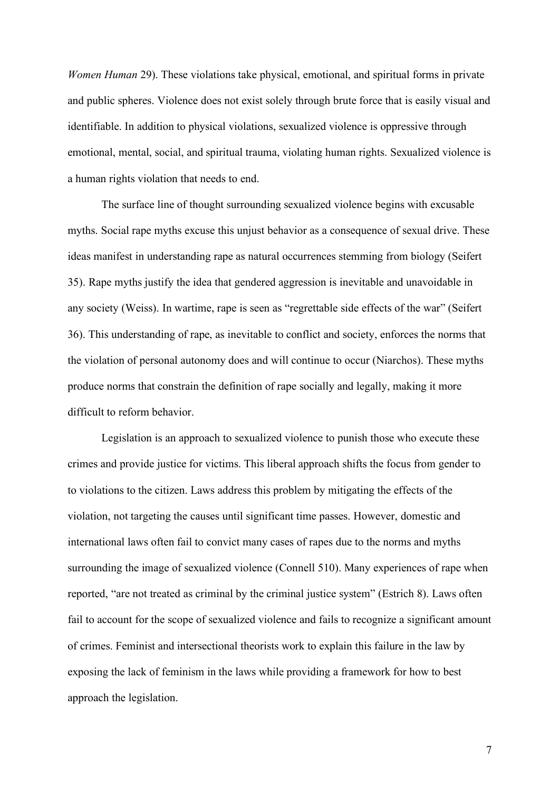*Women Human* 29). These violations take physical, emotional, and spiritual forms in private and public spheres. Violence does not exist solely through brute force that is easily visual and identifiable. In addition to physical violations, sexualized violence is oppressive through emotional, mental, social, and spiritual trauma, violating human rights. Sexualized violence is a human rights violation that needs to end.

The surface line of thought surrounding sexualized violence begins with excusable myths. Social rape myths excuse this unjust behavior as a consequence of sexual drive. These ideas manifest in understanding rape as natural occurrences stemming from biology (Seifert 35). Rape myths justify the idea that gendered aggression is inevitable and unavoidable in any society (Weiss). In wartime, rape is seen as "regrettable side effects of the war" (Seifert 36). This understanding of rape, as inevitable to conflict and society, enforces the norms that the violation of personal autonomy does and will continue to occur (Niarchos). These myths produce norms that constrain the definition of rape socially and legally, making it more difficult to reform behavior.

Legislation is an approach to sexualized violence to punish those who execute these crimes and provide justice for victims. This liberal approach shifts the focus from gender to to violations to the citizen. Laws address this problem by mitigating the effects of the violation, not targeting the causes until significant time passes. However, domestic and international laws often fail to convict many cases of rapes due to the norms and myths surrounding the image of sexualized violence (Connell 510). Many experiences of rape when reported, "are not treated as criminal by the criminal justice system" (Estrich 8). Laws often fail to account for the scope of sexualized violence and fails to recognize a significant amount of crimes. Feminist and intersectional theorists work to explain this failure in the law by exposing the lack of feminism in the laws while providing a framework for how to best approach the legislation.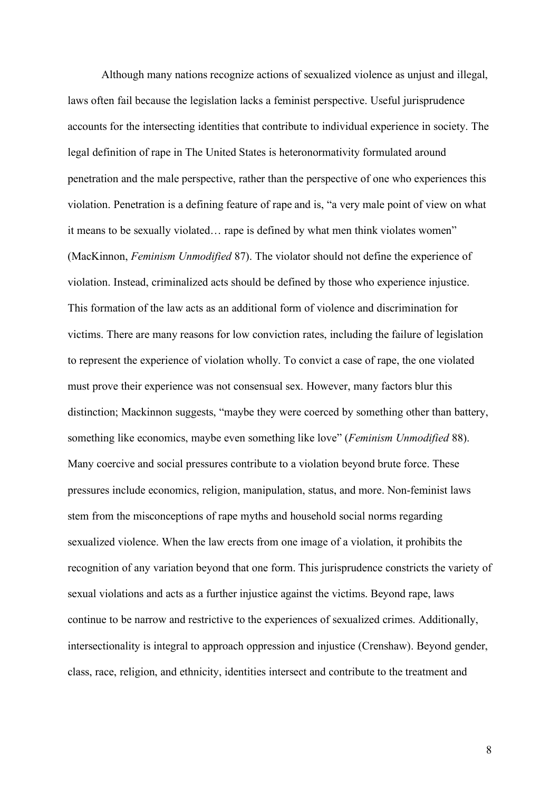Although many nations recognize actions of sexualized violence as unjust and illegal, laws often fail because the legislation lacks a feminist perspective. Useful jurisprudence accounts for the intersecting identities that contribute to individual experience in society. The legal definition of rape in The United States is heteronormativity formulated around penetration and the male perspective, rather than the perspective of one who experiences this violation. Penetration is a defining feature of rape and is, "a very male point of view on what it means to be sexually violated… rape is defined by what men think violates women" (MacKinnon, *Feminism Unmodified* 87). The violator should not define the experience of violation. Instead, criminalized acts should be defined by those who experience injustice. This formation of the law acts as an additional form of violence and discrimination for victims. There are many reasons for low conviction rates, including the failure of legislation to represent the experience of violation wholly. To convict a case of rape, the one violated must prove their experience was not consensual sex. However, many factors blur this distinction; Mackinnon suggests, "maybe they were coerced by something other than battery, something like economics, maybe even something like love" (*Feminism Unmodified* 88). Many coercive and social pressures contribute to a violation beyond brute force. These pressures include economics, religion, manipulation, status, and more. Non-feminist laws stem from the misconceptions of rape myths and household social norms regarding sexualized violence. When the law erects from one image of a violation, it prohibits the recognition of any variation beyond that one form. This jurisprudence constricts the variety of sexual violations and acts as a further injustice against the victims. Beyond rape, laws continue to be narrow and restrictive to the experiences of sexualized crimes. Additionally, intersectionality is integral to approach oppression and injustice (Crenshaw). Beyond gender, class, race, religion, and ethnicity, identities intersect and contribute to the treatment and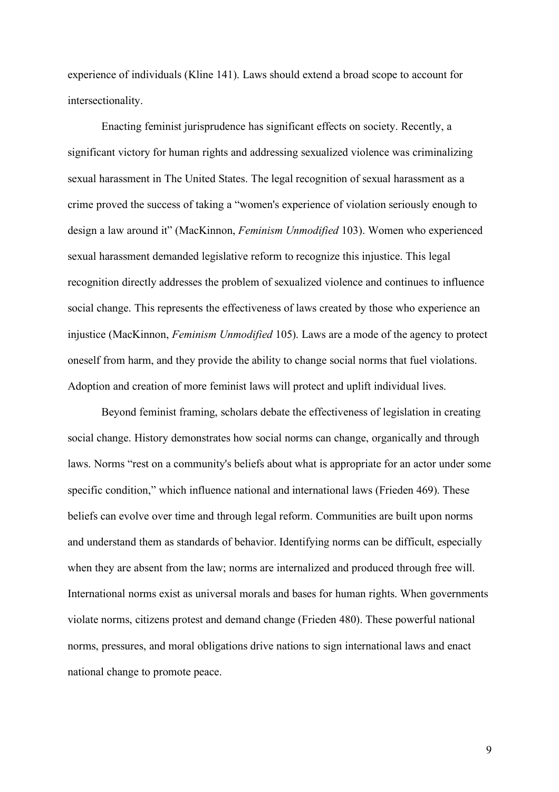experience of individuals (Kline 141). Laws should extend a broad scope to account for intersectionality.

Enacting feminist jurisprudence has significant effects on society. Recently, a significant victory for human rights and addressing sexualized violence was criminalizing sexual harassment in The United States. The legal recognition of sexual harassment as a crime proved the success of taking a "women's experience of violation seriously enough to design a law around it" (MacKinnon, *Feminism Unmodified* 103). Women who experienced sexual harassment demanded legislative reform to recognize this injustice. This legal recognition directly addresses the problem of sexualized violence and continues to influence social change. This represents the effectiveness of laws created by those who experience an injustice (MacKinnon, *Feminism Unmodified* 105). Laws are a mode of the agency to protect oneself from harm, and they provide the ability to change social norms that fuel violations. Adoption and creation of more feminist laws will protect and uplift individual lives.

Beyond feminist framing, scholars debate the effectiveness of legislation in creating social change. History demonstrates how social norms can change, organically and through laws. Norms "rest on a community's beliefs about what is appropriate for an actor under some specific condition," which influence national and international laws (Frieden 469). These beliefs can evolve over time and through legal reform. Communities are built upon norms and understand them as standards of behavior. Identifying norms can be difficult, especially when they are absent from the law; norms are internalized and produced through free will. International norms exist as universal morals and bases for human rights. When governments violate norms, citizens protest and demand change (Frieden 480). These powerful national norms, pressures, and moral obligations drive nations to sign international laws and enact national change to promote peace.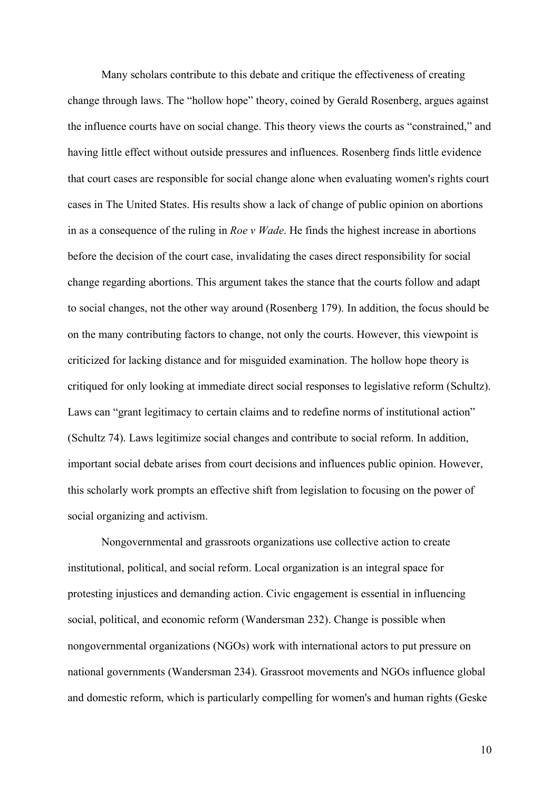Many scholars contribute to this debate and critique the effectiveness of creating change through laws. The "hollow hope" theory, coined by Gerald Rosenberg, argues against the influence courts have on social change. This theory views the courts as "constrained," and having little effect without outside pressures and influences. Rosenberg finds little evidence that court cases are responsible for social change alone when evaluating women's rights court cases in The United States. His results show a lack of change of public opinion on abortions in as a consequence of the ruling in *Roe v Wade*. He finds the highest increase in abortions before the decision of the court case, invalidating the cases direct responsibility for social change regarding abortions. This argument takes the stance that the courts follow and adapt to social changes, not the other way around (Rosenberg 179). In addition, the focus should be on the many contributing factors to change, not only the courts. However, this viewpoint is criticized for lacking distance and for misguided examination. The hollow hope theory is critiqued for only looking at immediate direct social responses to legislative reform (Schultz). Laws can "grant legitimacy to certain claims and to redefine norms of institutional action" (Schultz 74). Laws legitimize social changes and contribute to social reform. In addition, important social debate arises from court decisions and influences public opinion. However, this scholarly work prompts an effective shift from legislation to focusing on the power of social organizing and activism.

Nongovernmental and grassroots organizations use collective action to create institutional, political, and social reform. Local organization is an integral space for protesting injustices and demanding action. Civic engagement is essential in influencing social, political, and economic reform (Wandersman 232). Change is possible when nongovernmental organizations (NGOs) work with international actors to put pressure on national governments (Wandersman 234). Grassroot movements and NGOs influence global and domestic reform, which is particularly compelling for women's and human rights (Geske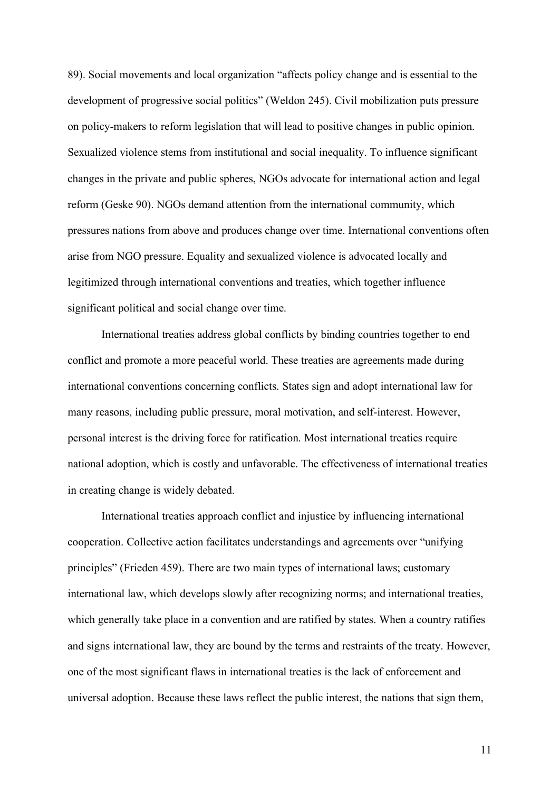89). Social movements and local organization "affects policy change and is essential to the development of progressive social politics" (Weldon 245). Civil mobilization puts pressure on policy-makers to reform legislation that will lead to positive changes in public opinion. Sexualized violence stems from institutional and social inequality. To influence significant changes in the private and public spheres, NGOs advocate for international action and legal reform (Geske 90). NGOs demand attention from the international community, which pressures nations from above and produces change over time. International conventions often arise from NGO pressure. Equality and sexualized violence is advocated locally and legitimized through international conventions and treaties, which together influence significant political and social change over time.

International treaties address global conflicts by binding countries together to end conflict and promote a more peaceful world. These treaties are agreements made during international conventions concerning conflicts. States sign and adopt international law for many reasons, including public pressure, moral motivation, and self-interest. However, personal interest is the driving force for ratification. Most international treaties require national adoption, which is costly and unfavorable. The effectiveness of international treaties in creating change is widely debated.

International treaties approach conflict and injustice by influencing international cooperation. Collective action facilitates understandings and agreements over "unifying principles" (Frieden 459). There are two main types of international laws; customary international law, which develops slowly after recognizing norms; and international treaties, which generally take place in a convention and are ratified by states. When a country ratifies and signs international law, they are bound by the terms and restraints of the treaty. However, one of the most significant flaws in international treaties is the lack of enforcement and universal adoption. Because these laws reflect the public interest, the nations that sign them,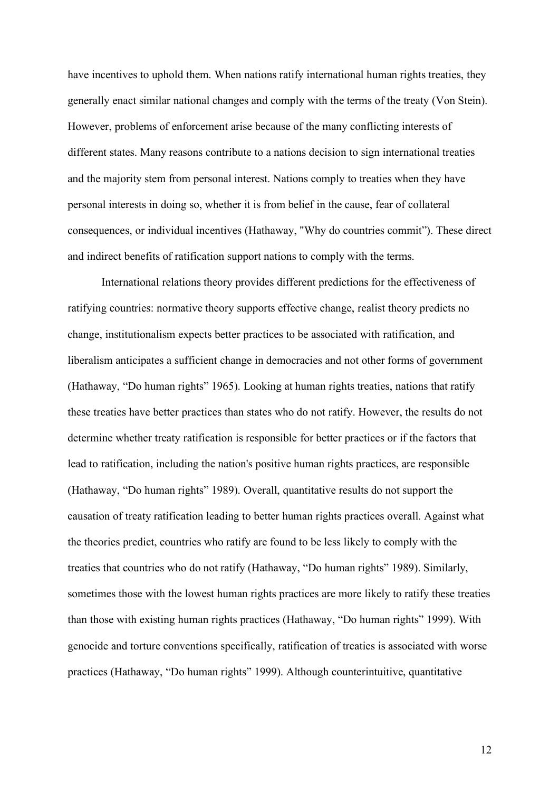have incentives to uphold them. When nations ratify international human rights treaties, they generally enact similar national changes and comply with the terms of the treaty (Von Stein). However, problems of enforcement arise because of the many conflicting interests of different states. Many reasons contribute to a nations decision to sign international treaties and the majority stem from personal interest. Nations comply to treaties when they have personal interests in doing so, whether it is from belief in the cause, fear of collateral consequences, or individual incentives (Hathaway, "Why do countries commit"). These direct and indirect benefits of ratification support nations to comply with the terms.

International relations theory provides different predictions for the effectiveness of ratifying countries: normative theory supports effective change, realist theory predicts no change, institutionalism expects better practices to be associated with ratification, and liberalism anticipates a sufficient change in democracies and not other forms of government (Hathaway, "Do human rights" 1965). Looking at human rights treaties, nations that ratify these treaties have better practices than states who do not ratify. However, the results do not determine whether treaty ratification is responsible for better practices or if the factors that lead to ratification, including the nation's positive human rights practices, are responsible (Hathaway, "Do human rights" 1989). Overall, quantitative results do not support the causation of treaty ratification leading to better human rights practices overall. Against what the theories predict, countries who ratify are found to be less likely to comply with the treaties that countries who do not ratify (Hathaway, "Do human rights" 1989). Similarly, sometimes those with the lowest human rights practices are more likely to ratify these treaties than those with existing human rights practices (Hathaway, "Do human rights" 1999). With genocide and torture conventions specifically, ratification of treaties is associated with worse practices (Hathaway, "Do human rights" 1999). Although counterintuitive, quantitative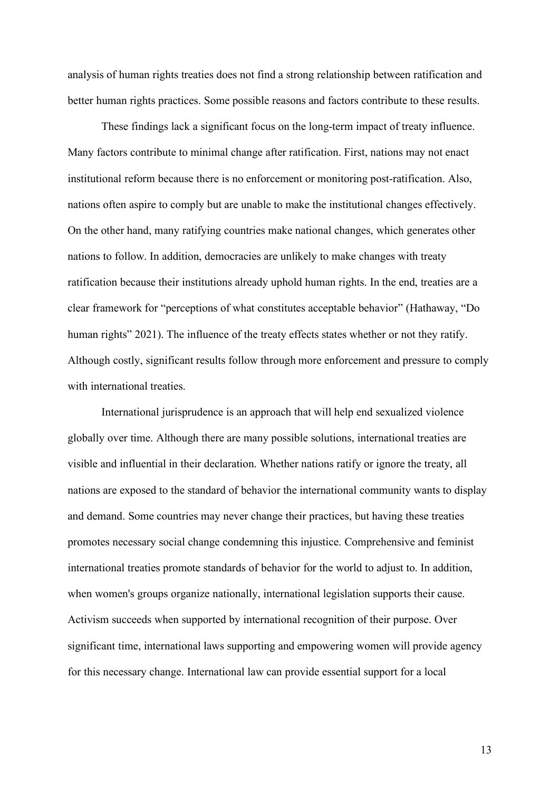analysis of human rights treaties does not find a strong relationship between ratification and better human rights practices. Some possible reasons and factors contribute to these results.

These findings lack a significant focus on the long-term impact of treaty influence. Many factors contribute to minimal change after ratification. First, nations may not enact institutional reform because there is no enforcement or monitoring post-ratification. Also, nations often aspire to comply but are unable to make the institutional changes effectively. On the other hand, many ratifying countries make national changes, which generates other nations to follow. In addition, democracies are unlikely to make changes with treaty ratification because their institutions already uphold human rights. In the end, treaties are a clear framework for "perceptions of what constitutes acceptable behavior" (Hathaway, "Do human rights" 2021). The influence of the treaty effects states whether or not they ratify. Although costly, significant results follow through more enforcement and pressure to comply with international treaties.

International jurisprudence is an approach that will help end sexualized violence globally over time. Although there are many possible solutions, international treaties are visible and influential in their declaration. Whether nations ratify or ignore the treaty, all nations are exposed to the standard of behavior the international community wants to display and demand. Some countries may never change their practices, but having these treaties promotes necessary social change condemning this injustice. Comprehensive and feminist international treaties promote standards of behavior for the world to adjust to. In addition, when women's groups organize nationally, international legislation supports their cause. Activism succeeds when supported by international recognition of their purpose. Over significant time, international laws supporting and empowering women will provide agency for this necessary change. International law can provide essential support for a local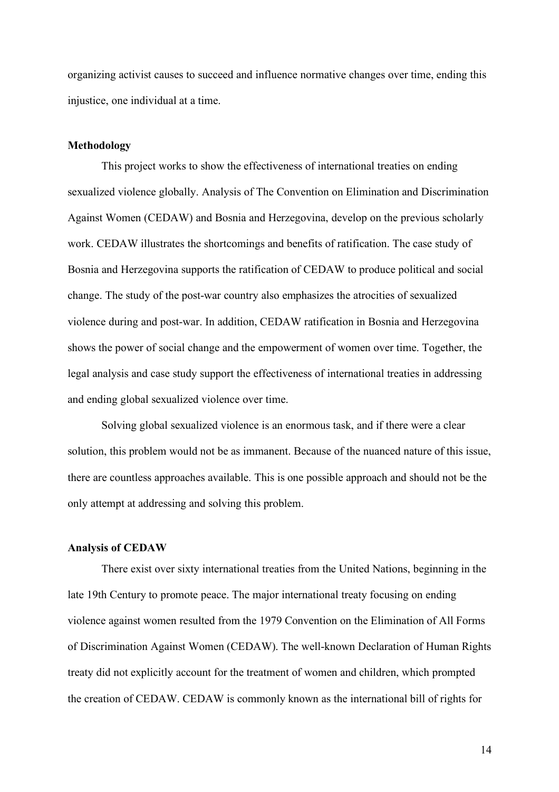organizing activist causes to succeed and influence normative changes over time, ending this injustice, one individual at a time.

#### **Methodology**

This project works to show the effectiveness of international treaties on ending sexualized violence globally. Analysis of The Convention on Elimination and Discrimination Against Women (CEDAW) and Bosnia and Herzegovina, develop on the previous scholarly work. CEDAW illustrates the shortcomings and benefits of ratification. The case study of Bosnia and Herzegovina supports the ratification of CEDAW to produce political and social change. The study of the post-war country also emphasizes the atrocities of sexualized violence during and post-war. In addition, CEDAW ratification in Bosnia and Herzegovina shows the power of social change and the empowerment of women over time. Together, the legal analysis and case study support the effectiveness of international treaties in addressing and ending global sexualized violence over time.

Solving global sexualized violence is an enormous task, and if there were a clear solution, this problem would not be as immanent. Because of the nuanced nature of this issue, there are countless approaches available. This is one possible approach and should not be the only attempt at addressing and solving this problem.

#### **Analysis of CEDAW**

There exist over sixty international treaties from the United Nations, beginning in the late 19th Century to promote peace. The major international treaty focusing on ending violence against women resulted from the 1979 Convention on the Elimination of All Forms of Discrimination Against Women (CEDAW). The well-known Declaration of Human Rights treaty did not explicitly account for the treatment of women and children, which prompted the creation of CEDAW. CEDAW is commonly known as the international bill of rights for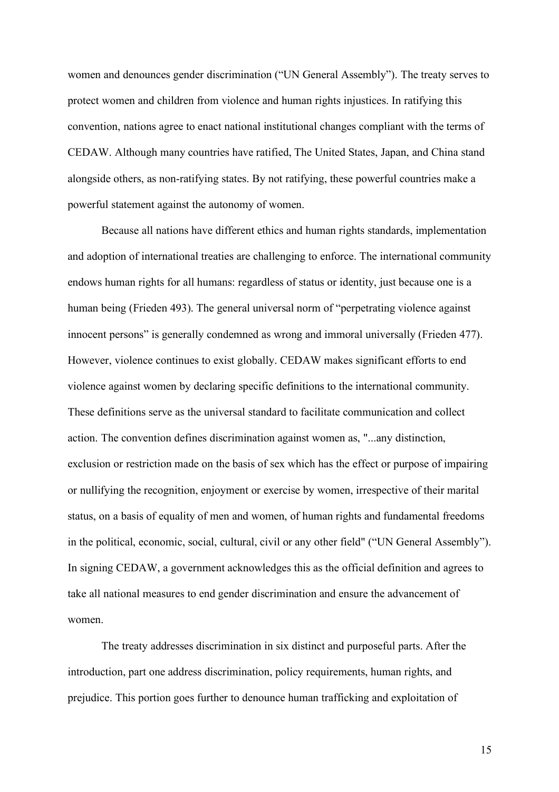women and denounces gender discrimination ("UN General Assembly"). The treaty serves to protect women and children from violence and human rights injustices. In ratifying this convention, nations agree to enact national institutional changes compliant with the terms of CEDAW. Although many countries have ratified, The United States, Japan, and China stand alongside others, as non-ratifying states. By not ratifying, these powerful countries make a powerful statement against the autonomy of women.

Because all nations have different ethics and human rights standards, implementation and adoption of international treaties are challenging to enforce. The international community endows human rights for all humans: regardless of status or identity, just because one is a human being (Frieden 493). The general universal norm of "perpetrating violence against innocent persons" is generally condemned as wrong and immoral universally (Frieden 477). However, violence continues to exist globally. CEDAW makes significant efforts to end violence against women by declaring specific definitions to the international community. These definitions serve as the universal standard to facilitate communication and collect action. The convention defines discrimination against women as, "...any distinction, exclusion or restriction made on the basis of sex which has the effect or purpose of impairing or nullifying the recognition, enjoyment or exercise by women, irrespective of their marital status, on a basis of equality of men and women, of human rights and fundamental freedoms in the political, economic, social, cultural, civil or any other field" ("UN General Assembly"). In signing CEDAW, a government acknowledges this as the official definition and agrees to take all national measures to end gender discrimination and ensure the advancement of women.

The treaty addresses discrimination in six distinct and purposeful parts. After the introduction, part one address discrimination, policy requirements, human rights, and prejudice. This portion goes further to denounce human trafficking and exploitation of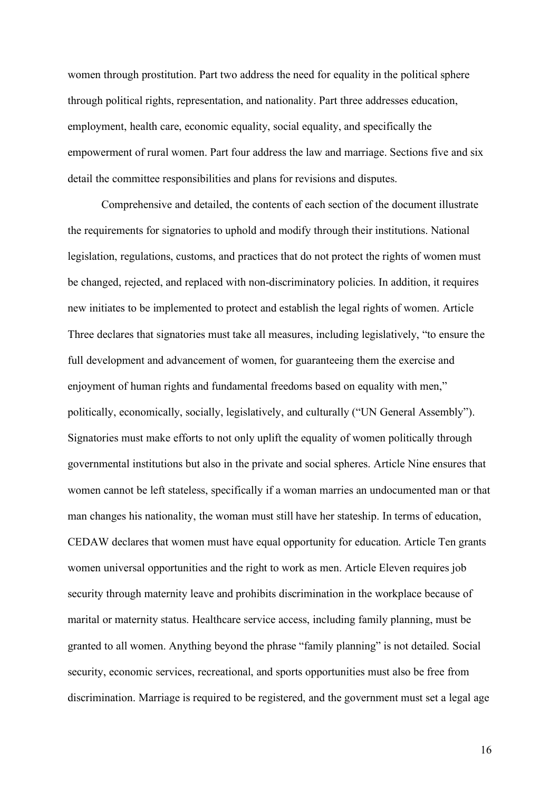women through prostitution. Part two address the need for equality in the political sphere through political rights, representation, and nationality. Part three addresses education, employment, health care, economic equality, social equality, and specifically the empowerment of rural women. Part four address the law and marriage. Sections five and six detail the committee responsibilities and plans for revisions and disputes.

Comprehensive and detailed, the contents of each section of the document illustrate the requirements for signatories to uphold and modify through their institutions. National legislation, regulations, customs, and practices that do not protect the rights of women must be changed, rejected, and replaced with non-discriminatory policies. In addition, it requires new initiates to be implemented to protect and establish the legal rights of women. Article Three declares that signatories must take all measures, including legislatively, "to ensure the full development and advancement of women, for guaranteeing them the exercise and enjoyment of human rights and fundamental freedoms based on equality with men," politically, economically, socially, legislatively, and culturally ("UN General Assembly"). Signatories must make efforts to not only uplift the equality of women politically through governmental institutions but also in the private and social spheres. Article Nine ensures that women cannot be left stateless, specifically if a woman marries an undocumented man or that man changes his nationality, the woman must still have her stateship. In terms of education, CEDAW declares that women must have equal opportunity for education. Article Ten grants women universal opportunities and the right to work as men. Article Eleven requires job security through maternity leave and prohibits discrimination in the workplace because of marital or maternity status. Healthcare service access, including family planning, must be granted to all women. Anything beyond the phrase "family planning" is not detailed. Social security, economic services, recreational, and sports opportunities must also be free from discrimination. Marriage is required to be registered, and the government must set a legal age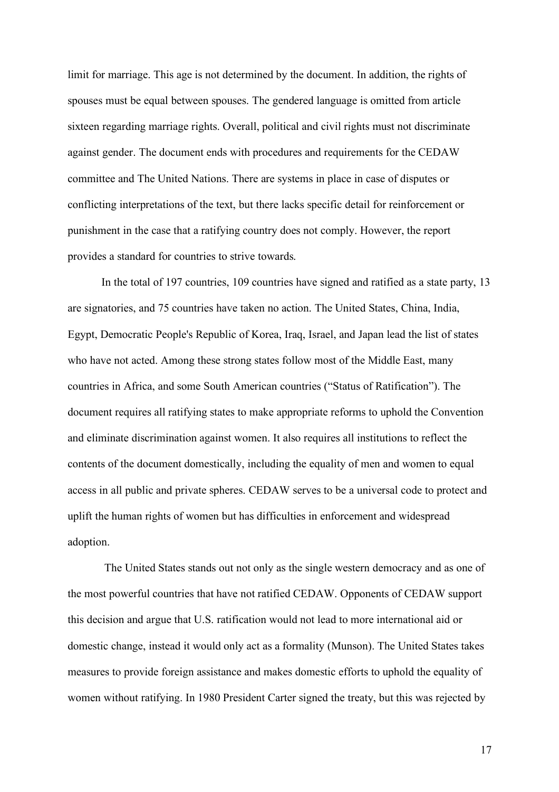limit for marriage. This age is not determined by the document. In addition, the rights of spouses must be equal between spouses. The gendered language is omitted from article sixteen regarding marriage rights. Overall, political and civil rights must not discriminate against gender. The document ends with procedures and requirements for the CEDAW committee and The United Nations. There are systems in place in case of disputes or conflicting interpretations of the text, but there lacks specific detail for reinforcement or punishment in the case that a ratifying country does not comply. However, the report provides a standard for countries to strive towards.

In the total of 197 countries, 109 countries have signed and ratified as a state party, 13 are signatories, and 75 countries have taken no action. The United States, China, India, Egypt, Democratic People's Republic of Korea, Iraq, Israel, and Japan lead the list of states who have not acted. Among these strong states follow most of the Middle East, many countries in Africa, and some South American countries ("Status of Ratification"). The document requires all ratifying states to make appropriate reforms to uphold the Convention and eliminate discrimination against women. It also requires all institutions to reflect the contents of the document domestically, including the equality of men and women to equal access in all public and private spheres. CEDAW serves to be a universal code to protect and uplift the human rights of women but has difficulties in enforcement and widespread adoption.

The United States stands out not only as the single western democracy and as one of the most powerful countries that have not ratified CEDAW. Opponents of CEDAW support this decision and argue that U.S. ratification would not lead to more international aid or domestic change, instead it would only act as a formality (Munson). The United States takes measures to provide foreign assistance and makes domestic efforts to uphold the equality of women without ratifying. In 1980 President Carter signed the treaty, but this was rejected by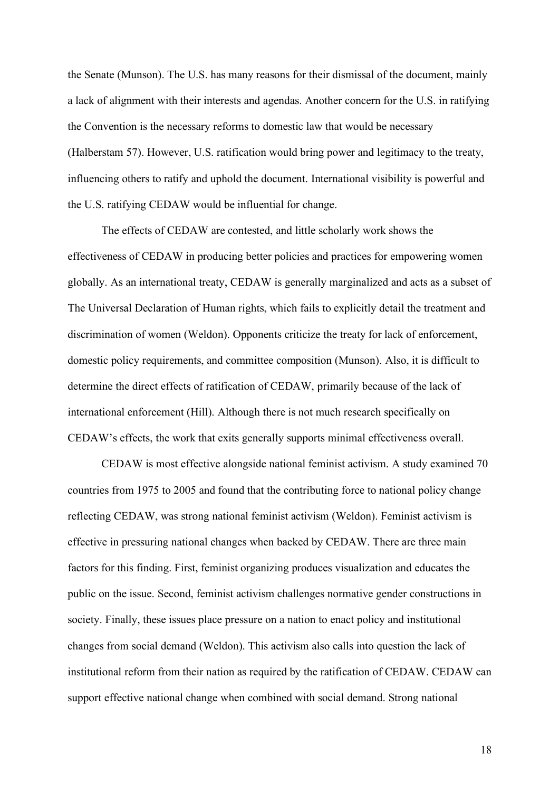the Senate (Munson). The U.S. has many reasons for their dismissal of the document, mainly a lack of alignment with their interests and agendas. Another concern for the U.S. in ratifying the Convention is the necessary reforms to domestic law that would be necessary (Halberstam 57). However, U.S. ratification would bring power and legitimacy to the treaty, influencing others to ratify and uphold the document. International visibility is powerful and the U.S. ratifying CEDAW would be influential for change.

The effects of CEDAW are contested, and little scholarly work shows the effectiveness of CEDAW in producing better policies and practices for empowering women globally. As an international treaty, CEDAW is generally marginalized and acts as a subset of The Universal Declaration of Human rights, which fails to explicitly detail the treatment and discrimination of women (Weldon). Opponents criticize the treaty for lack of enforcement, domestic policy requirements, and committee composition (Munson). Also, it is difficult to determine the direct effects of ratification of CEDAW, primarily because of the lack of international enforcement (Hill). Although there is not much research specifically on CEDAW's effects, the work that exits generally supports minimal effectiveness overall.

CEDAW is most effective alongside national feminist activism. A study examined 70 countries from 1975 to 2005 and found that the contributing force to national policy change reflecting CEDAW, was strong national feminist activism (Weldon). Feminist activism is effective in pressuring national changes when backed by CEDAW. There are three main factors for this finding. First, feminist organizing produces visualization and educates the public on the issue. Second, feminist activism challenges normative gender constructions in society. Finally, these issues place pressure on a nation to enact policy and institutional changes from social demand (Weldon). This activism also calls into question the lack of institutional reform from their nation as required by the ratification of CEDAW. CEDAW can support effective national change when combined with social demand. Strong national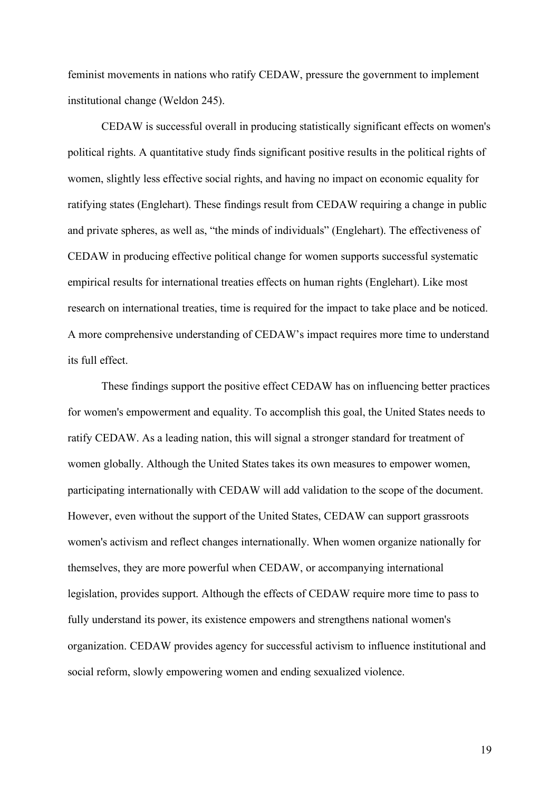feminist movements in nations who ratify CEDAW, pressure the government to implement institutional change (Weldon 245).

CEDAW is successful overall in producing statistically significant effects on women's political rights. A quantitative study finds significant positive results in the political rights of women, slightly less effective social rights, and having no impact on economic equality for ratifying states (Englehart). These findings result from CEDAW requiring a change in public and private spheres, as well as, "the minds of individuals" (Englehart). The effectiveness of CEDAW in producing effective political change for women supports successful systematic empirical results for international treaties effects on human rights (Englehart). Like most research on international treaties, time is required for the impact to take place and be noticed. A more comprehensive understanding of CEDAW's impact requires more time to understand its full effect.

These findings support the positive effect CEDAW has on influencing better practices for women's empowerment and equality. To accomplish this goal, the United States needs to ratify CEDAW. As a leading nation, this will signal a stronger standard for treatment of women globally. Although the United States takes its own measures to empower women, participating internationally with CEDAW will add validation to the scope of the document. However, even without the support of the United States, CEDAW can support grassroots women's activism and reflect changes internationally. When women organize nationally for themselves, they are more powerful when CEDAW, or accompanying international legislation, provides support. Although the effects of CEDAW require more time to pass to fully understand its power, its existence empowers and strengthens national women's organization. CEDAW provides agency for successful activism to influence institutional and social reform, slowly empowering women and ending sexualized violence.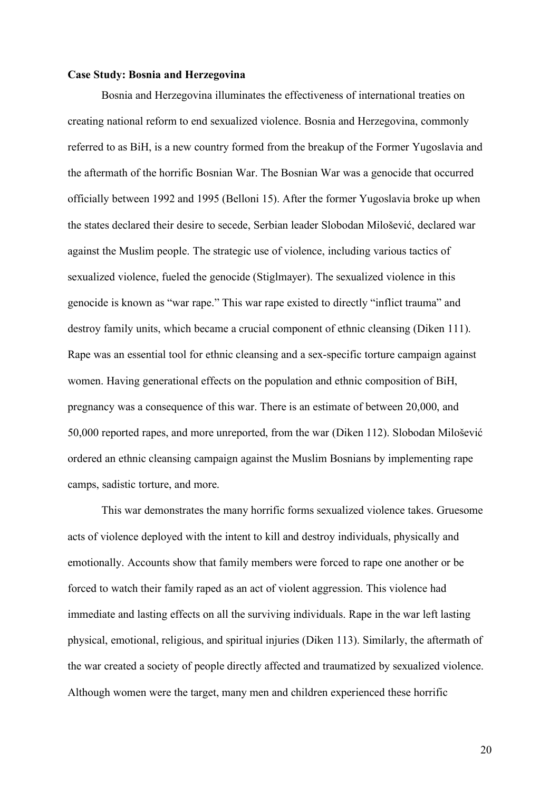#### **Case Study: Bosnia and Herzegovina**

Bosnia and Herzegovina illuminates the effectiveness of international treaties on creating national reform to end sexualized violence. Bosnia and Herzegovina, commonly referred to as BiH, is a new country formed from the breakup of the Former Yugoslavia and the aftermath of the horrific Bosnian War. The Bosnian War was a genocide that occurred officially between 1992 and 1995 (Belloni 15). After the former Yugoslavia broke up when the states declared their desire to secede, Serbian leader Slobodan Milošević, declared war against the Muslim people. The strategic use of violence, including various tactics of sexualized violence, fueled the genocide (Stiglmayer). The sexualized violence in this genocide is known as "war rape." This war rape existed to directly "inflict trauma" and destroy family units, which became a crucial component of ethnic cleansing (Diken 111). Rape was an essential tool for ethnic cleansing and a sex-specific torture campaign against women. Having generational effects on the population and ethnic composition of BiH, pregnancy was a consequence of this war. There is an estimate of between 20,000, and 50,000 reported rapes, and more unreported, from the war (Diken 112). Slobodan Milošević ordered an ethnic cleansing campaign against the Muslim Bosnians by implementing rape camps, sadistic torture, and more.

This war demonstrates the many horrific forms sexualized violence takes. Gruesome acts of violence deployed with the intent to kill and destroy individuals, physically and emotionally. Accounts show that family members were forced to rape one another or be forced to watch their family raped as an act of violent aggression. This violence had immediate and lasting effects on all the surviving individuals. Rape in the war left lasting physical, emotional, religious, and spiritual injuries (Diken 113). Similarly, the aftermath of the war created a society of people directly affected and traumatized by sexualized violence. Although women were the target, many men and children experienced these horrific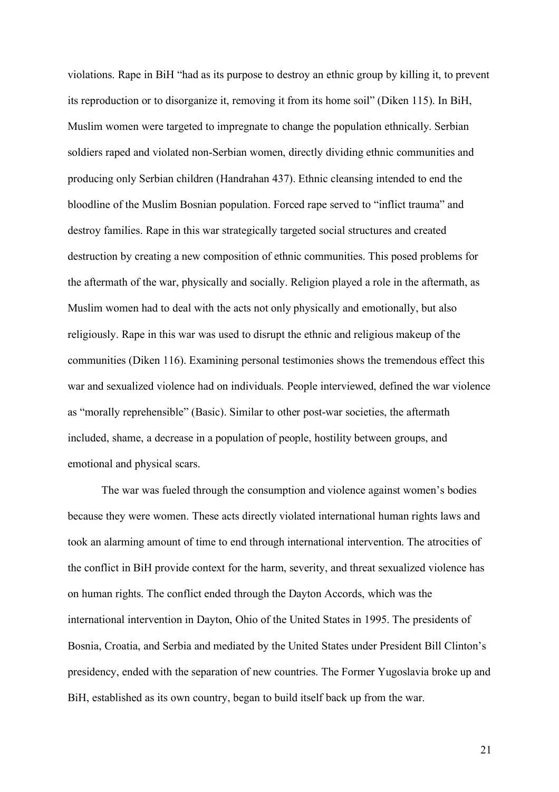violations. Rape in BiH "had as its purpose to destroy an ethnic group by killing it, to prevent its reproduction or to disorganize it, removing it from its home soil" (Diken 115). In BiH, Muslim women were targeted to impregnate to change the population ethnically. Serbian soldiers raped and violated non-Serbian women, directly dividing ethnic communities and producing only Serbian children (Handrahan 437). Ethnic cleansing intended to end the bloodline of the Muslim Bosnian population. Forced rape served to "inflict trauma" and destroy families. Rape in this war strategically targeted social structures and created destruction by creating a new composition of ethnic communities. This posed problems for the aftermath of the war, physically and socially. Religion played a role in the aftermath, as Muslim women had to deal with the acts not only physically and emotionally, but also religiously. Rape in this war was used to disrupt the ethnic and religious makeup of the communities (Diken 116). Examining personal testimonies shows the tremendous effect this war and sexualized violence had on individuals. People interviewed, defined the war violence as "morally reprehensible" (Basic). Similar to other post-war societies, the aftermath included, shame, a decrease in a population of people, hostility between groups, and emotional and physical scars.

The war was fueled through the consumption and violence against women's bodies because they were women. These acts directly violated international human rights laws and took an alarming amount of time to end through international intervention. The atrocities of the conflict in BiH provide context for the harm, severity, and threat sexualized violence has on human rights. The conflict ended through the Dayton Accords, which was the international intervention in Dayton, Ohio of the United States in 1995. The presidents of Bosnia, Croatia, and Serbia and mediated by the United States under President Bill Clinton's presidency, ended with the separation of new countries. The Former Yugoslavia broke up and BiH, established as its own country, began to build itself back up from the war.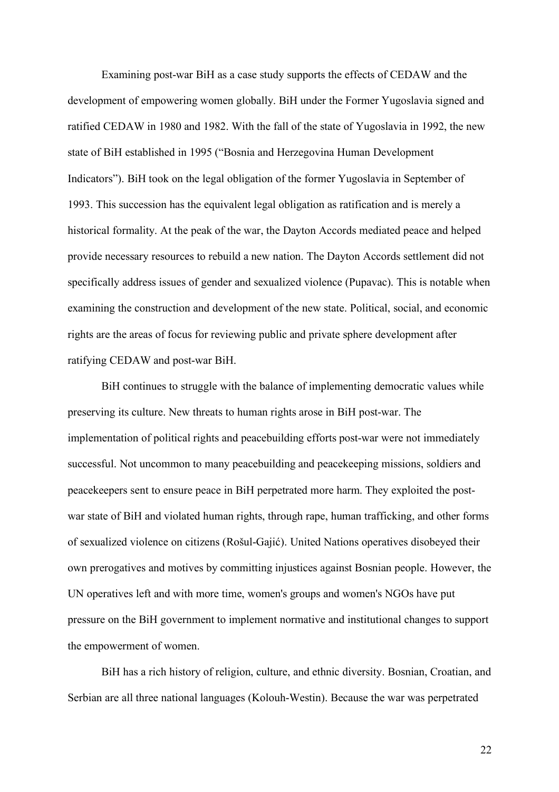Examining post-war BiH as a case study supports the effects of CEDAW and the development of empowering women globally. BiH under the Former Yugoslavia signed and ratified CEDAW in 1980 and 1982. With the fall of the state of Yugoslavia in 1992, the new state of BiH established in 1995 ("Bosnia and Herzegovina Human Development Indicators"). BiH took on the legal obligation of the former Yugoslavia in September of 1993. This succession has the equivalent legal obligation as ratification and is merely a historical formality. At the peak of the war, the Dayton Accords mediated peace and helped provide necessary resources to rebuild a new nation. The Dayton Accords settlement did not specifically address issues of gender and sexualized violence (Pupavac). This is notable when examining the construction and development of the new state. Political, social, and economic rights are the areas of focus for reviewing public and private sphere development after ratifying CEDAW and post-war BiH.

BiH continues to struggle with the balance of implementing democratic values while preserving its culture. New threats to human rights arose in BiH post-war. The implementation of political rights and peacebuilding efforts post-war were not immediately successful. Not uncommon to many peacebuilding and peacekeeping missions, soldiers and peacekeepers sent to ensure peace in BiH perpetrated more harm. They exploited the postwar state of BiH and violated human rights, through rape, human trafficking, and other forms of sexualized violence on citizens (Rošul-Gajić). United Nations operatives disobeyed their own prerogatives and motives by committing injustices against Bosnian people. However, the UN operatives left and with more time, women's groups and women's NGOs have put pressure on the BiH government to implement normative and institutional changes to support the empowerment of women.

BiH has a rich history of religion, culture, and ethnic diversity. Bosnian, Croatian, and Serbian are all three national languages (Kolouh-Westin). Because the war was perpetrated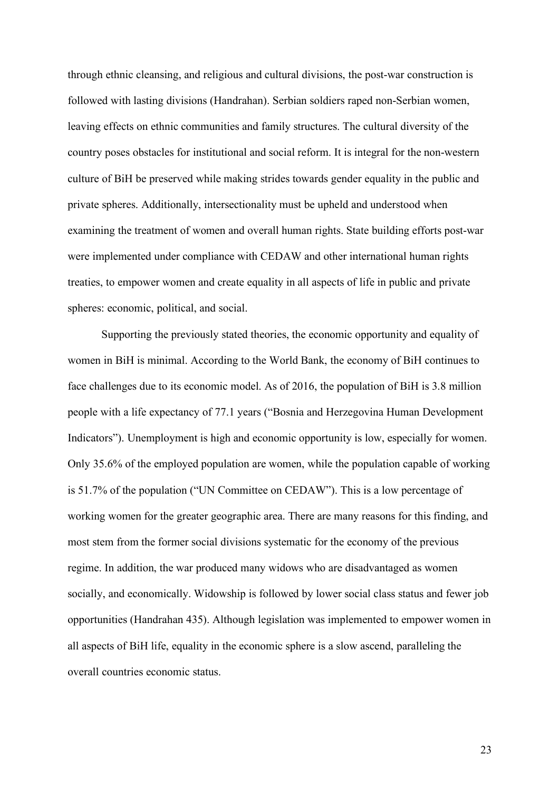through ethnic cleansing, and religious and cultural divisions, the post-war construction is followed with lasting divisions (Handrahan). Serbian soldiers raped non-Serbian women, leaving effects on ethnic communities and family structures. The cultural diversity of the country poses obstacles for institutional and social reform. It is integral for the non-western culture of BiH be preserved while making strides towards gender equality in the public and private spheres. Additionally, intersectionality must be upheld and understood when examining the treatment of women and overall human rights. State building efforts post-war were implemented under compliance with CEDAW and other international human rights treaties, to empower women and create equality in all aspects of life in public and private spheres: economic, political, and social.

Supporting the previously stated theories, the economic opportunity and equality of women in BiH is minimal. According to the World Bank, the economy of BiH continues to face challenges due to its economic model. As of 2016, the population of BiH is 3.8 million people with a life expectancy of 77.1 years ("Bosnia and Herzegovina Human Development Indicators"). Unemployment is high and economic opportunity is low, especially for women. Only 35.6% of the employed population are women, while the population capable of working is 51.7% of the population ("UN Committee on CEDAW"). This is a low percentage of working women for the greater geographic area. There are many reasons for this finding, and most stem from the former social divisions systematic for the economy of the previous regime. In addition, the war produced many widows who are disadvantaged as women socially, and economically. Widowship is followed by lower social class status and fewer job opportunities (Handrahan 435). Although legislation was implemented to empower women in all aspects of BiH life, equality in the economic sphere is a slow ascend, paralleling the overall countries economic status.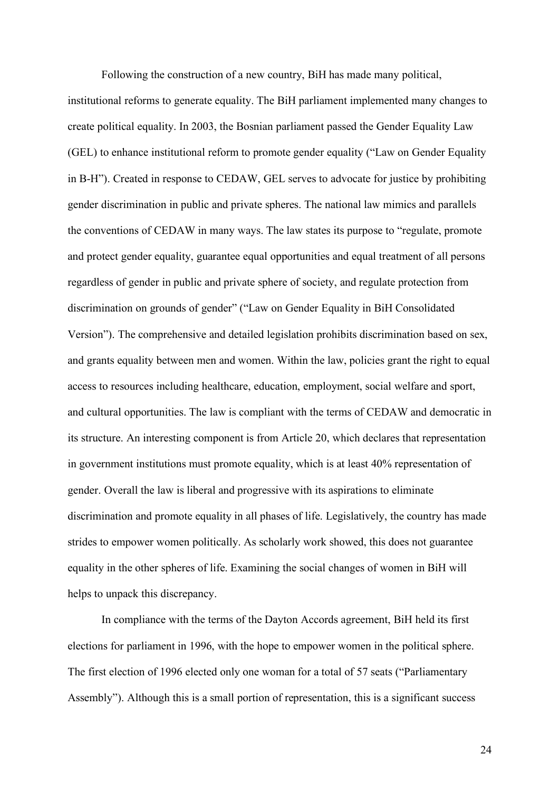Following the construction of a new country, BiH has made many political, institutional reforms to generate equality. The BiH parliament implemented many changes to create political equality. In 2003, the Bosnian parliament passed the Gender Equality Law (GEL) to enhance institutional reform to promote gender equality ("Law on Gender Equality in B-H"). Created in response to CEDAW, GEL serves to advocate for justice by prohibiting gender discrimination in public and private spheres. The national law mimics and parallels the conventions of CEDAW in many ways. The law states its purpose to "regulate, promote and protect gender equality, guarantee equal opportunities and equal treatment of all persons regardless of gender in public and private sphere of society, and regulate protection from discrimination on grounds of gender" ("Law on Gender Equality in BiH Consolidated Version"). The comprehensive and detailed legislation prohibits discrimination based on sex, and grants equality between men and women. Within the law, policies grant the right to equal access to resources including healthcare, education, employment, social welfare and sport, and cultural opportunities. The law is compliant with the terms of CEDAW and democratic in its structure. An interesting component is from Article 20, which declares that representation in government institutions must promote equality, which is at least 40% representation of gender. Overall the law is liberal and progressive with its aspirations to eliminate discrimination and promote equality in all phases of life. Legislatively, the country has made strides to empower women politically. As scholarly work showed, this does not guarantee equality in the other spheres of life. Examining the social changes of women in BiH will helps to unpack this discrepancy.

In compliance with the terms of the Dayton Accords agreement, BiH held its first elections for parliament in 1996, with the hope to empower women in the political sphere. The first election of 1996 elected only one woman for a total of 57 seats ("Parliamentary Assembly"). Although this is a small portion of representation, this is a significant success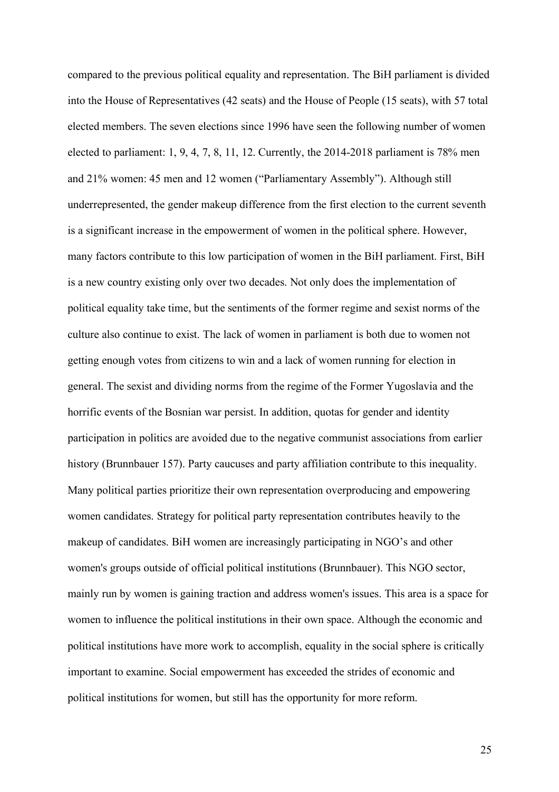compared to the previous political equality and representation. The BiH parliament is divided into the House of Representatives (42 seats) and the House of People (15 seats), with 57 total elected members. The seven elections since 1996 have seen the following number of women elected to parliament: 1, 9, 4, 7, 8, 11, 12. Currently, the 2014-2018 parliament is 78% men and 21% women: 45 men and 12 women ("Parliamentary Assembly"). Although still underrepresented, the gender makeup difference from the first election to the current seventh is a significant increase in the empowerment of women in the political sphere. However, many factors contribute to this low participation of women in the BiH parliament. First, BiH is a new country existing only over two decades. Not only does the implementation of political equality take time, but the sentiments of the former regime and sexist norms of the culture also continue to exist. The lack of women in parliament is both due to women not getting enough votes from citizens to win and a lack of women running for election in general. The sexist and dividing norms from the regime of the Former Yugoslavia and the horrific events of the Bosnian war persist. In addition, quotas for gender and identity participation in politics are avoided due to the negative communist associations from earlier history (Brunnbauer 157). Party caucuses and party affiliation contribute to this inequality. Many political parties prioritize their own representation overproducing and empowering women candidates. Strategy for political party representation contributes heavily to the makeup of candidates. BiH women are increasingly participating in NGO's and other women's groups outside of official political institutions (Brunnbauer). This NGO sector, mainly run by women is gaining traction and address women's issues. This area is a space for women to influence the political institutions in their own space. Although the economic and political institutions have more work to accomplish, equality in the social sphere is critically important to examine. Social empowerment has exceeded the strides of economic and political institutions for women, but still has the opportunity for more reform.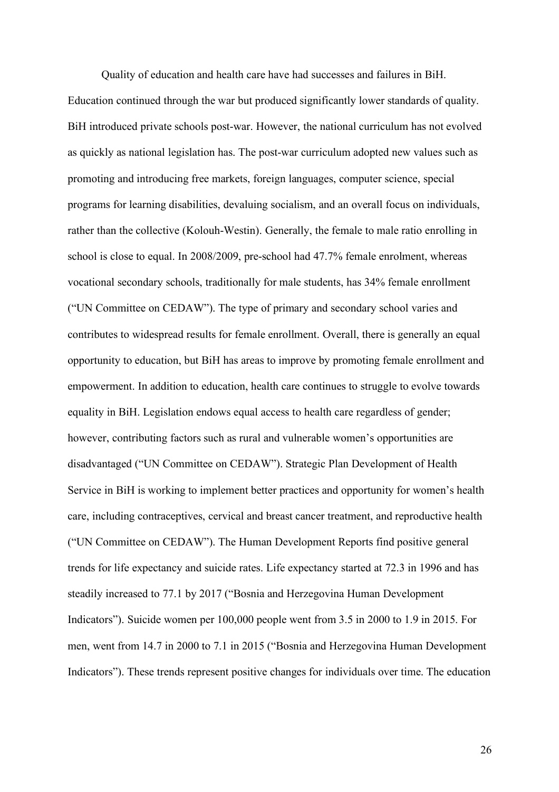Quality of education and health care have had successes and failures in BiH. Education continued through the war but produced significantly lower standards of quality. BiH introduced private schools post-war. However, the national curriculum has not evolved as quickly as national legislation has. The post-war curriculum adopted new values such as promoting and introducing free markets, foreign languages, computer science, special programs for learning disabilities, devaluing socialism, and an overall focus on individuals, rather than the collective (Kolouh-Westin). Generally, the female to male ratio enrolling in school is close to equal. In 2008/2009, pre-school had 47.7% female enrolment, whereas vocational secondary schools, traditionally for male students, has 34% female enrollment ("UN Committee on CEDAW"). The type of primary and secondary school varies and contributes to widespread results for female enrollment. Overall, there is generally an equal opportunity to education, but BiH has areas to improve by promoting female enrollment and empowerment. In addition to education, health care continues to struggle to evolve towards equality in BiH. Legislation endows equal access to health care regardless of gender; however, contributing factors such as rural and vulnerable women's opportunities are disadvantaged ("UN Committee on CEDAW"). Strategic Plan Development of Health Service in BiH is working to implement better practices and opportunity for women's health care, including contraceptives, cervical and breast cancer treatment, and reproductive health ("UN Committee on CEDAW"). The Human Development Reports find positive general trends for life expectancy and suicide rates. Life expectancy started at 72.3 in 1996 and has steadily increased to 77.1 by 2017 ("Bosnia and Herzegovina Human Development Indicators"). Suicide women per 100,000 people went from 3.5 in 2000 to 1.9 in 2015. For men, went from 14.7 in 2000 to 7.1 in 2015 ("Bosnia and Herzegovina Human Development Indicators"). These trends represent positive changes for individuals over time. The education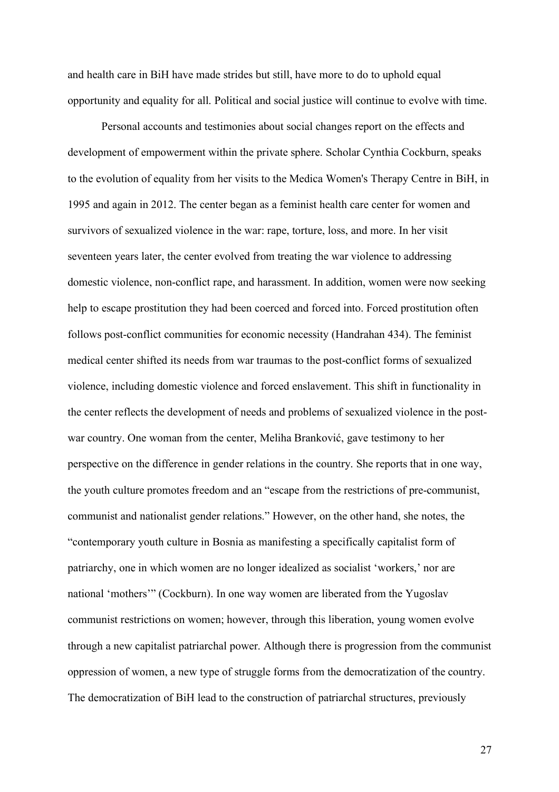and health care in BiH have made strides but still, have more to do to uphold equal opportunity and equality for all. Political and social justice will continue to evolve with time.

Personal accounts and testimonies about social changes report on the effects and development of empowerment within the private sphere. Scholar Cynthia Cockburn, speaks to the evolution of equality from her visits to the Medica Women's Therapy Centre in BiH, in 1995 and again in 2012. The center began as a feminist health care center for women and survivors of sexualized violence in the war: rape, torture, loss, and more. In her visit seventeen years later, the center evolved from treating the war violence to addressing domestic violence, non-conflict rape, and harassment. In addition, women were now seeking help to escape prostitution they had been coerced and forced into. Forced prostitution often follows post-conflict communities for economic necessity (Handrahan 434). The feminist medical center shifted its needs from war traumas to the post-conflict forms of sexualized violence, including domestic violence and forced enslavement. This shift in functionality in the center reflects the development of needs and problems of sexualized violence in the postwar country. One woman from the center, Meliha Branković, gave testimony to her perspective on the difference in gender relations in the country. She reports that in one way, the youth culture promotes freedom and an "escape from the restrictions of pre-communist, communist and nationalist gender relations." However, on the other hand, she notes, the "contemporary youth culture in Bosnia as manifesting a specifically capitalist form of patriarchy, one in which women are no longer idealized as socialist 'workers,' nor are national 'mothers'" (Cockburn). In one way women are liberated from the Yugoslav communist restrictions on women; however, through this liberation, young women evolve through a new capitalist patriarchal power. Although there is progression from the communist oppression of women, a new type of struggle forms from the democratization of the country. The democratization of BiH lead to the construction of patriarchal structures, previously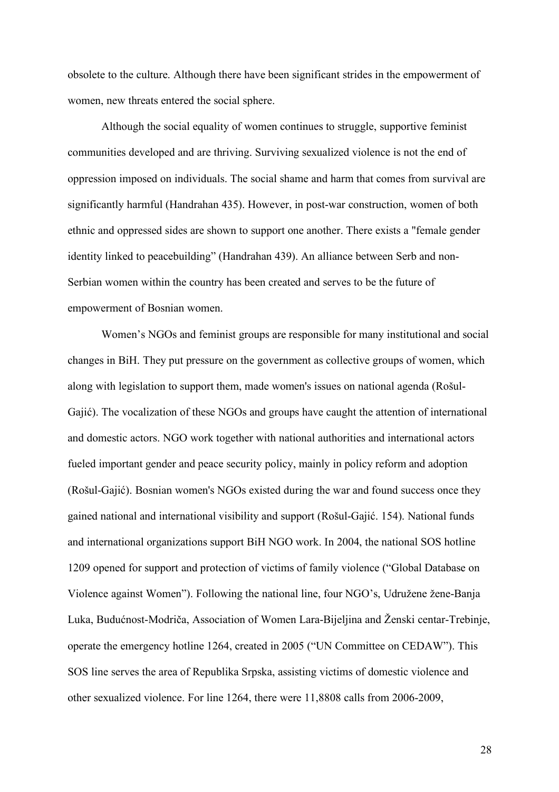obsolete to the culture. Although there have been significant strides in the empowerment of women, new threats entered the social sphere.

Although the social equality of women continues to struggle, supportive feminist communities developed and are thriving. Surviving sexualized violence is not the end of oppression imposed on individuals. The social shame and harm that comes from survival are significantly harmful (Handrahan 435). However, in post-war construction, women of both ethnic and oppressed sides are shown to support one another. There exists a "female gender identity linked to peacebuilding" (Handrahan 439). An alliance between Serb and non-Serbian women within the country has been created and serves to be the future of empowerment of Bosnian women.

Women's NGOs and feminist groups are responsible for many institutional and social changes in BiH. They put pressure on the government as collective groups of women, which along with legislation to support them, made women's issues on national agenda (Rošul-Gajić). The vocalization of these NGOs and groups have caught the attention of international and domestic actors. NGO work together with national authorities and international actors fueled important gender and peace security policy, mainly in policy reform and adoption (Rošul-Gajić). Bosnian women's NGOs existed during the war and found success once they gained national and international visibility and support (Rošul-Gajić. 154). National funds and international organizations support BiH NGO work. In 2004, the national SOS hotline 1209 opened for support and protection of victims of family violence ("Global Database on Violence against Women"). Following the national line, four NGO's, Udružene žene-Banja Luka, Budućnost-Modriča, Association of Women Lara-Bijeljina and Ženski centar-Trebinje, operate the emergency hotline 1264, created in 2005 ("UN Committee on CEDAW"). This SOS line serves the area of Republika Srpska, assisting victims of domestic violence and other sexualized violence. For line 1264, there were 11,8808 calls from 2006-2009,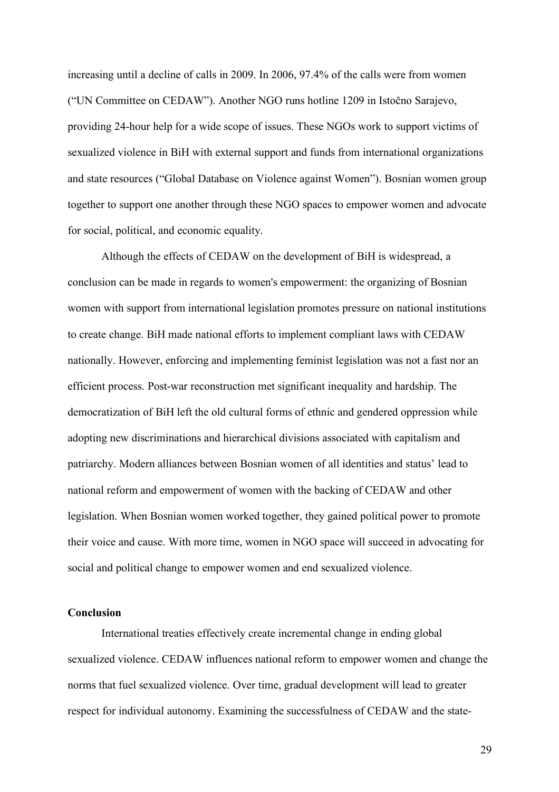increasing until a decline of calls in 2009. In 2006, 97.4% of the calls were from women ("UN Committee on CEDAW"). Another NGO runs hotline 1209 in Istočno Sarajevo, providing 24-hour help for a wide scope of issues. These NGOs work to support victims of sexualized violence in BiH with external support and funds from international organizations and state resources ("Global Database on Violence against Women"). Bosnian women group together to support one another through these NGO spaces to empower women and advocate for social, political, and economic equality.

Although the effects of CEDAW on the development of BiH is widespread, a conclusion can be made in regards to women's empowerment: the organizing of Bosnian women with support from international legislation promotes pressure on national institutions to create change. BiH made national efforts to implement compliant laws with CEDAW nationally. However, enforcing and implementing feminist legislation was not a fast nor an efficient process. Post-war reconstruction met significant inequality and hardship. The democratization of BiH left the old cultural forms of ethnic and gendered oppression while adopting new discriminations and hierarchical divisions associated with capitalism and patriarchy. Modern alliances between Bosnian women of all identities and status' lead to national reform and empowerment of women with the backing of CEDAW and other legislation. When Bosnian women worked together, they gained political power to promote their voice and cause. With more time, women in NGO space will succeed in advocating for social and political change to empower women and end sexualized violence.

#### **Conclusion**

International treaties effectively create incremental change in ending global sexualized violence. CEDAW influences national reform to empower women and change the norms that fuel sexualized violence. Over time, gradual development will lead to greater respect for individual autonomy. Examining the successfulness of CEDAW and the state-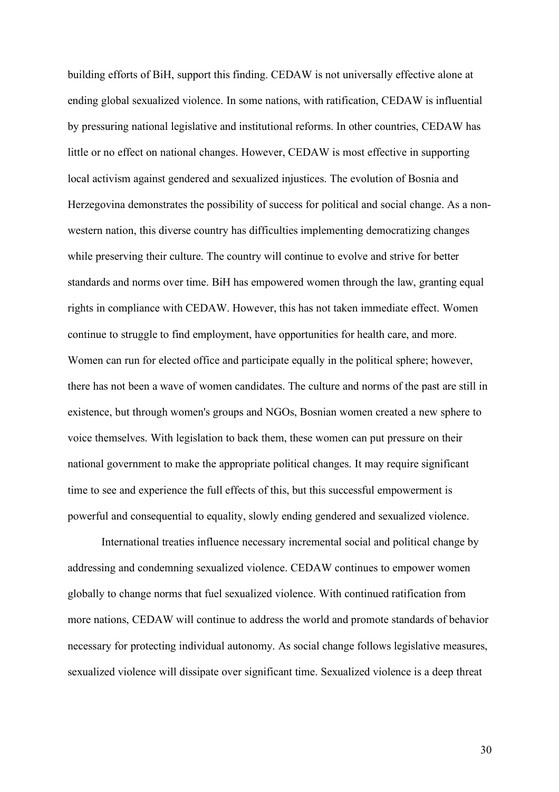building efforts of BiH, support this finding. CEDAW is not universally effective alone at ending global sexualized violence. In some nations, with ratification, CEDAW is influential by pressuring national legislative and institutional reforms. In other countries, CEDAW has little or no effect on national changes. However, CEDAW is most effective in supporting local activism against gendered and sexualized injustices. The evolution of Bosnia and Herzegovina demonstrates the possibility of success for political and social change. As a nonwestern nation, this diverse country has difficulties implementing democratizing changes while preserving their culture. The country will continue to evolve and strive for better standards and norms over time. BiH has empowered women through the law, granting equal rights in compliance with CEDAW. However, this has not taken immediate effect. Women continue to struggle to find employment, have opportunities for health care, and more. Women can run for elected office and participate equally in the political sphere; however, there has not been a wave of women candidates. The culture and norms of the past are still in existence, but through women's groups and NGOs, Bosnian women created a new sphere to voice themselves. With legislation to back them, these women can put pressure on their national government to make the appropriate political changes. It may require significant time to see and experience the full effects of this, but this successful empowerment is powerful and consequential to equality, slowly ending gendered and sexualized violence.

International treaties influence necessary incremental social and political change by addressing and condemning sexualized violence. CEDAW continues to empower women globally to change norms that fuel sexualized violence. With continued ratification from more nations, CEDAW will continue to address the world and promote standards of behavior necessary for protecting individual autonomy. As social change follows legislative measures, sexualized violence will dissipate over significant time. Sexualized violence is a deep threat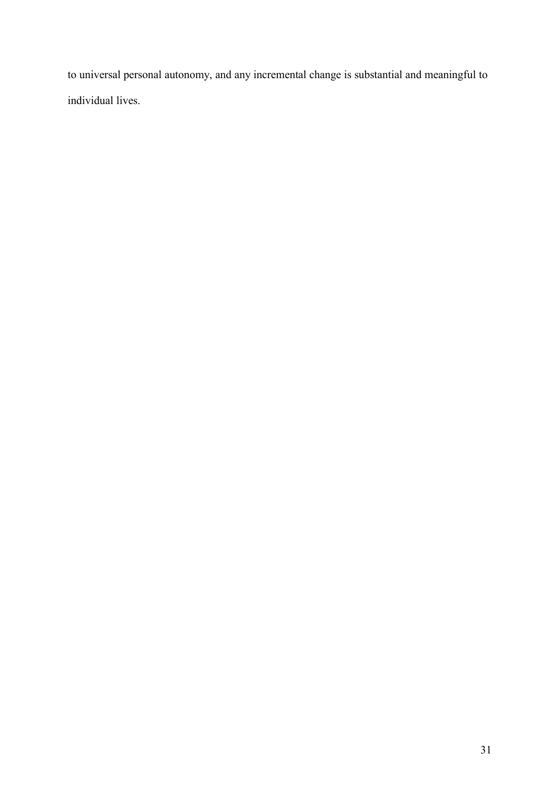to universal personal autonomy, and any incremental change is substantial and meaningful to individual lives.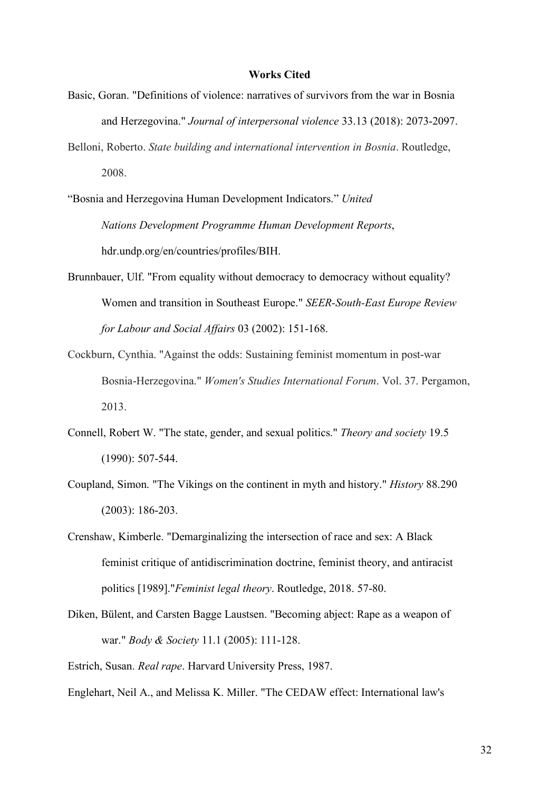#### **Works Cited**

- Basic, Goran. "Definitions of violence: narratives of survivors from the war in Bosnia and Herzegovina." *Journal of interpersonal violence* 33.13 (2018): 2073-2097.
- Belloni, Roberto. *State building and international intervention in Bosnia*. Routledge, 2008.

"Bosnia and Herzegovina Human Development Indicators." *United Nations Development Programme Human Development Reports*, hdr.undp.org/en/countries/profiles/BIH.

- Brunnbauer, Ulf. "From equality without democracy to democracy without equality? Women and transition in Southeast Europe." *SEER-South-East Europe Review for Labour and Social Affairs* 03 (2002): 151-168.
- Cockburn, Cynthia. "Against the odds: Sustaining feminist momentum in post-war Bosnia-Herzegovina." *Women's Studies International Forum*. Vol. 37. Pergamon, 2013.
- Connell, Robert W. "The state, gender, and sexual politics." *Theory and society* 19.5 (1990): 507-544.
- Coupland, Simon. "The Vikings on the continent in myth and history." *History* 88.290 (2003): 186-203.
- Crenshaw, Kimberle. "Demarginalizing the intersection of race and sex: A Black feminist critique of antidiscrimination doctrine, feminist theory, and antiracist politics [1989]."*Feminist legal theory*. Routledge, 2018. 57-80.
- Diken, Bülent, and Carsten Bagge Laustsen. "Becoming abject: Rape as a weapon of war." *Body & Society* 11.1 (2005): 111-128.
- Estrich, Susan. *Real rape*. Harvard University Press, 1987.
- Englehart, Neil A., and Melissa K. Miller. "The CEDAW effect: International law's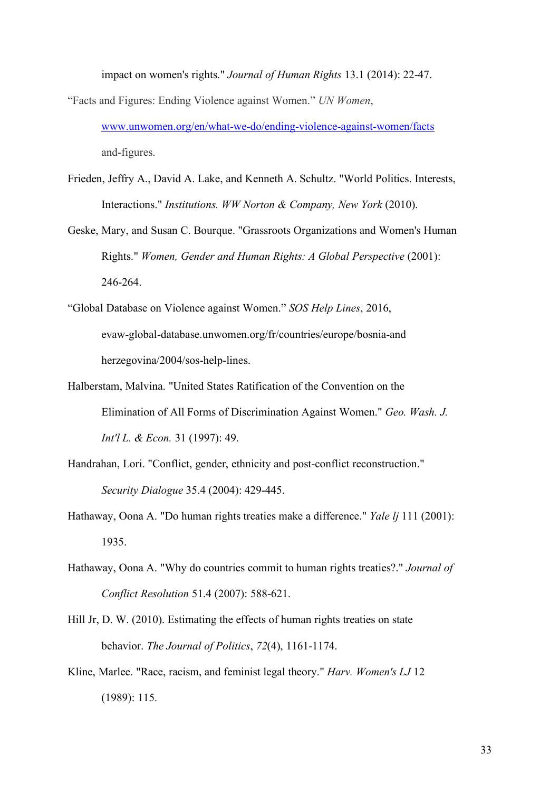impact on women's rights." *Journal of Human Rights* 13.1 (2014): 22-47.

- "Facts and Figures: Ending Violence against Women." *UN Women*, www.unwomen.org/en/what-we-do/ending-violence-against-women/facts and-figures.
- Frieden, Jeffry A., David A. Lake, and Kenneth A. Schultz. "World Politics. Interests, Interactions." *Institutions. WW Norton & Company, New York* (2010).
- Geske, Mary, and Susan C. Bourque. "Grassroots Organizations and Women's Human Rights." *Women, Gender and Human Rights: A Global Perspective* (2001): 246-264.
- "Global Database on Violence against Women." *SOS Help Lines*, 2016, evaw-global-database.unwomen.org/fr/countries/europe/bosnia-and herzegovina/2004/sos-help-lines.
- Halberstam, Malvina. "United States Ratification of the Convention on the Elimination of All Forms of Discrimination Against Women." *Geo. Wash. J. Int'l L. & Econ.* 31 (1997): 49.
- Handrahan, Lori. "Conflict, gender, ethnicity and post-conflict reconstruction." *Security Dialogue* 35.4 (2004): 429-445.
- Hathaway, Oona A. "Do human rights treaties make a difference." *Yale lj* 111 (2001): 1935.
- Hathaway, Oona A. "Why do countries commit to human rights treaties?." *Journal of Conflict Resolution* 51.4 (2007): 588-621.
- Hill Jr, D. W. (2010). Estimating the effects of human rights treaties on state behavior. *The Journal of Politics*, *72*(4), 1161-1174.
- Kline, Marlee. "Race, racism, and feminist legal theory." *Harv. Women's LJ* 12 (1989): 115.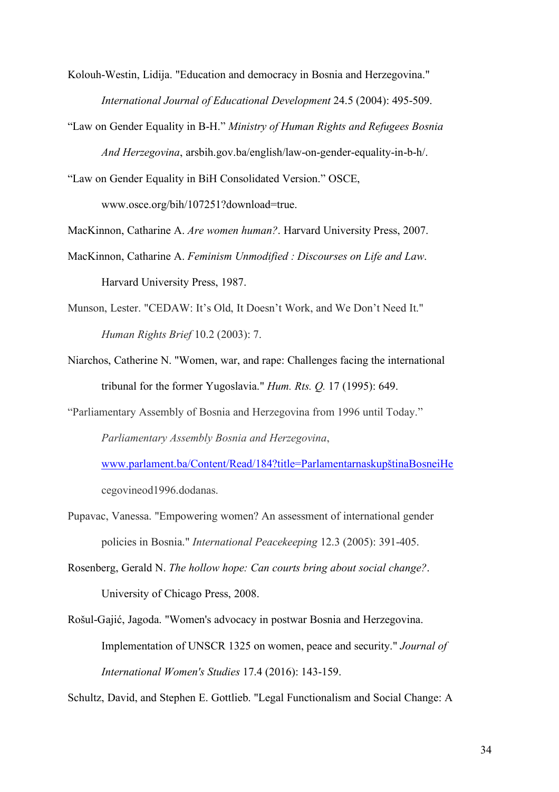- Kolouh-Westin, Lidija. "Education and democracy in Bosnia and Herzegovina." *International Journal of Educational Development* 24.5 (2004): 495-509.
- "Law on Gender Equality in B-H." *Ministry of Human Rights and Refugees Bosnia And Herzegovina*, arsbih.gov.ba/english/law-on-gender-equality-in-b-h/.

"Law on Gender Equality in BiH Consolidated Version." OSCE,

www.osce.org/bih/107251?download=true.

MacKinnon, Catharine A. *Are women human?*. Harvard University Press, 2007.

- MacKinnon, Catharine A. *Feminism Unmodified : Discourses on Life and Law*. Harvard University Press, 1987.
- Munson, Lester. "CEDAW: It's Old, It Doesn't Work, and We Don't Need It." *Human Rights Brief* 10.2 (2003): 7.
- Niarchos, Catherine N. "Women, war, and rape: Challenges facing the international tribunal for the former Yugoslavia." *Hum. Rts. Q.* 17 (1995): 649.
- "Parliamentary Assembly of Bosnia and Herzegovina from 1996 until Today."

*Parliamentary Assembly Bosnia and Herzegovina*,

www.parlament.ba/Content/Read/184?title=ParlamentarnaskupštinaBosneiHe cegovineod1996.dodanas.

- Pupavac, Vanessa. "Empowering women? An assessment of international gender policies in Bosnia." *International Peacekeeping* 12.3 (2005): 391-405.
- Rosenberg, Gerald N. *The hollow hope: Can courts bring about social change?*. University of Chicago Press, 2008.

Rošul-Gajić, Jagoda. "Women's advocacy in postwar Bosnia and Herzegovina. Implementation of UNSCR 1325 on women, peace and security." *Journal of International Women's Studies* 17.4 (2016): 143-159.

Schultz, David, and Stephen E. Gottlieb. "Legal Functionalism and Social Change: A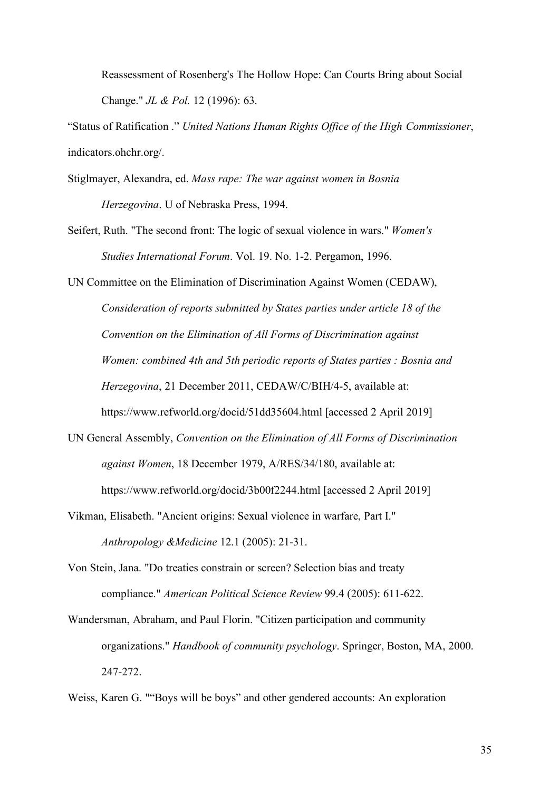Reassessment of Rosenberg's The Hollow Hope: Can Courts Bring about Social Change." *JL & Pol.* 12 (1996): 63.

"Status of Ratification ." *United Nations Human Rights Office of the High Commissioner*, indicators.ohchr.org/.

Stiglmayer, Alexandra, ed. *Mass rape: The war against women in Bosnia Herzegovina*. U of Nebraska Press, 1994.

Seifert, Ruth. "The second front: The logic of sexual violence in wars." *Women's Studies International Forum*. Vol. 19. No. 1-2. Pergamon, 1996.

UN Committee on the Elimination of Discrimination Against Women (CEDAW), *Consideration of reports submitted by States parties under article 18 of the Convention on the Elimination of All Forms of Discrimination against Women: combined 4th and 5th periodic reports of States parties : Bosnia and Herzegovina*, 21 December 2011, CEDAW/C/BIH/4-5, available at: https://www.refworld.org/docid/51dd35604.html [accessed 2 April 2019]

- UN General Assembly, *Convention on the Elimination of All Forms of Discrimination against Women*, 18 December 1979, A/RES/34/180, available at: https://www.refworld.org/docid/3b00f2244.html [accessed 2 April 2019]
- Vikman, Elisabeth. "Ancient origins: Sexual violence in warfare, Part I." *Anthropology &Medicine* 12.1 (2005): 21-31.
- Von Stein, Jana. "Do treaties constrain or screen? Selection bias and treaty compliance." *American Political Science Review* 99.4 (2005): 611-622.
- Wandersman, Abraham, and Paul Florin. "Citizen participation and community organizations." *Handbook of community psychology*. Springer, Boston, MA, 2000. 247-272.

Weiss, Karen G. ""Boys will be boys" and other gendered accounts: An exploration